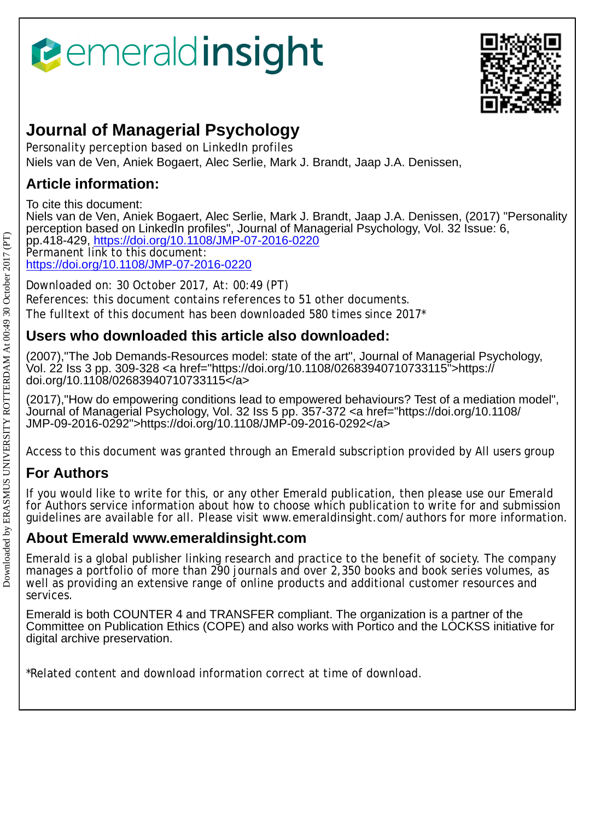# *<u><b>emeraldinsight</u>*



## **Journal of Managerial Psychology**

Personality perception based on LinkedIn profiles Niels van de Ven, Aniek Bogaert, Alec Serlie, Mark J. Brandt, Jaap J.A. Denissen,

## **Article information:**

To cite this document:

Niels van de Ven, Aniek Bogaert, Alec Serlie, Mark J. Brandt, Jaap J.A. Denissen, (2017) "Personality perception based on LinkedIn profiles", Journal of Managerial Psychology, Vol. 32 Issue: 6,

pp.418-429, <https://doi.org/10.1108/JMP-07-2016-0220> Permanent link to this document: <https://doi.org/10.1108/JMP-07-2016-0220>

Downloaded on: 30 October 2017, At: 00:49 (PT) References: this document contains references to 51 other documents. The fulltext of this document has been downloaded 580 times since 2017\*

## **Users who downloaded this article also downloaded:**

(2007),"The Job Demands-Resources model: state of the art", Journal of Managerial Psychology, Vol. 22 Iss 3 pp. 309-328 <a href="https://doi.org/10.1108/02683940710733115">https:// doi.org/10.1108/02683940710733115</a>

(2017),"How do empowering conditions lead to empowered behaviours? Test of a mediation model", Journal of Managerial Psychology, Vol. 32 Iss 5 pp. 357-372 <a href="https://doi.org/10.1108/ JMP-09-2016-0292">https://doi.org/10.1108/JMP-09-2016-0292</a>

Access to this document was granted through an Emerald subscription provided by All users group

## **For Authors**

If you would like to write for this, or any other Emerald publication, then please use our Emerald for Authors service information about how to choose which publication to write for and submission guidelines are available for all. Please visit www.emeraldinsight.com/authors for more information.

### **About Emerald www.emeraldinsight.com**

Emerald is a global publisher linking research and practice to the benefit of society. The company manages a portfolio of more than 290 journals and over 2,350 books and book series volumes, as well as providing an extensive range of online products and additional customer resources and services.

Emerald is both COUNTER 4 and TRANSFER compliant. The organization is a partner of the Committee on Publication Ethics (COPE) and also works with Portico and the LOCKSS initiative for digital archive preservation.

\*Related content and download information correct at time of download.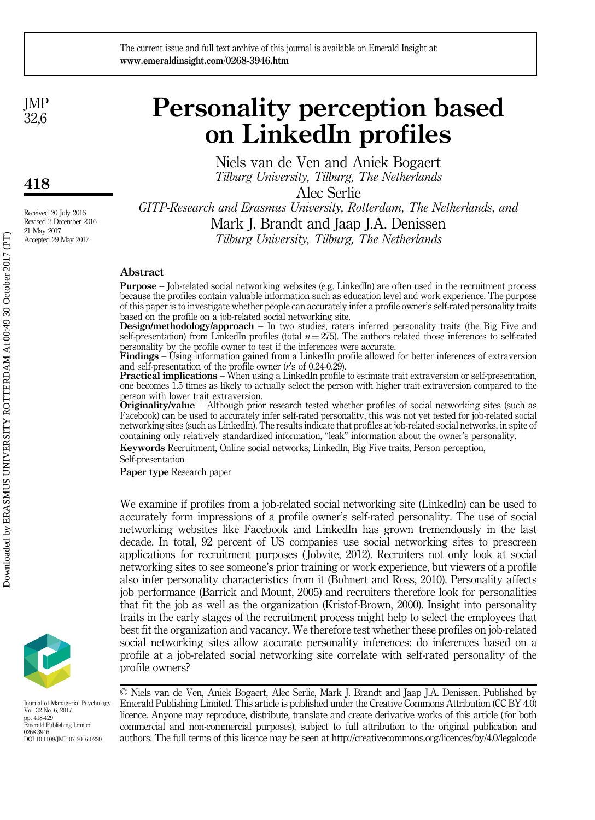JMP 32,6

#### 418

Received 20 July 2016 Revised 2 December 2016 21 May 2017 Accepted 29 May 2017

## Personality perception based on LinkedIn profiles

Niels van de Ven and Aniek Bogaert Tilburg University, Tilburg, The Netherlands Alec Serlie

GITP-Research and Erasmus University, Rotterdam, The Netherlands, and Mark J. Brandt and Jaap J.A. Denissen Tilburg University, Tilburg, The Netherlands

#### Abstract

Purpose – Job-related social networking websites (e.g. LinkedIn) are often used in the recruitment process because the profiles contain valuable information such as education level and work experience. The purpose of this paper is to investigate whether people can accurately infer a profile owner's self-rated personality traits based on the profile on a job-related social networking site.

Design/methodology/approach – In two studies, raters inferred personality traits (the Big Five and self-presentation) from LinkedIn profiles (total  $n = 275$ ). The authors related those inferences to self-rated personality by the profile owner to test if the inferences were accurate.

Findings – Using information gained from a LinkedIn profile allowed for better inferences of extraversion and self-presentation of the profile owner (r's of 0.24-0.29).

Practical implications – When using a LinkedIn profile to estimate trait extraversion or self-presentation, one becomes 1.5 times as likely to actually select the person with higher trait extraversion compared to the person with lower trait extraversion.

Originality/value – Although prior research tested whether profiles of social networking sites (such as Facebook) can be used to accurately infer self-rated personality, this was not yet tested for job-related social networking sites (such as LinkedIn). The results indicate that profiles at job-related social networks, in spite of containing only relatively standardized information, "leak" information about the owner's personality.

Keywords Recruitment, Online social networks, LinkedIn, Big Five traits, Person perception, Self-presentation

Paper type Research paper

We examine if profiles from a job-related social networking site (LinkedIn) can be used to accurately form impressions of a profile owner's self-rated personality. The use of social networking websites like Facebook and LinkedIn has grown tremendously in the last decade. In total, 92 percent of US companies use social networking sites to prescreen applications for recruitment purposes ( Jobvite, 2012). Recruiters not only look at social networking sites to see someone's prior training or work experience, but viewers of a profile also infer personality characteristics from it (Bohnert and Ross, 2010). Personality affects job performance (Barrick and Mount, 2005) and recruiters therefore look for personalities that fit the job as well as the organization (Kristof-Brown, 2000). Insight into personality traits in the early stages of the recruitment process might help to select the employees that best fit the organization and vacancy. We therefore test whether these profiles on job-related social networking sites allow accurate personality inferences: do inferences based on a profile at a job-related social networking site correlate with self-rated personality of the profile owners?



Journal of Managerial Psychology Vol. 32 No. 6, 2017 pp. 418-429 Emerald Publishing Limited 0268-3946 DOI 10.1108/JMP-07-2016-0220

© Niels van de Ven, Aniek Bogaert, Alec Serlie, Mark J. Brandt and Jaap J.A. Denissen. Published by Emerald Publishing Limited. This article is published under the Creative Commons Attribution (CC BY 4.0) licence. Anyone may reproduce, distribute, translate and create derivative works of this article ( for both commercial and non-commercial purposes), subject to full attribution to the original publication and authors. The full terms of this licence may be seen at<http://creativecommons.org/licences/by/4.0/legalcode>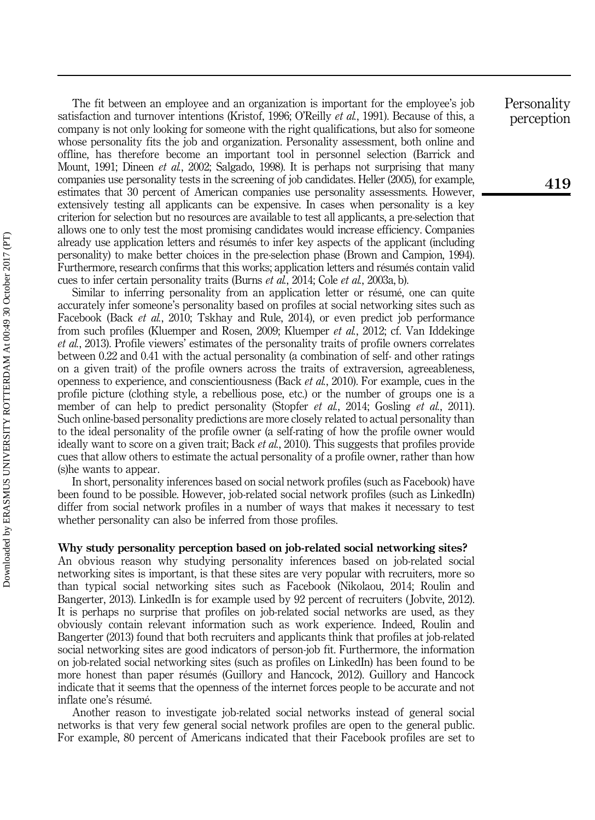The fit between an employee and an organization is important for the employee's job satisfaction and turnover intentions (Kristof, 1996; O'Reilly *et al.*, 1991). Because of this, a company is not only looking for someone with the right qualifications, but also for someone whose personality fits the job and organization. Personality assessment, both online and offline, has therefore become an important tool in personnel selection (Barrick and Mount, 1991; Dineen *et al.*, 2002; Salgado, 1998). It is perhaps not surprising that many companies use personality tests in the screening of job candidates. Heller (2005), for example, estimates that 30 percent of American companies use personality assessments. However, extensively testing all applicants can be expensive. In cases when personality is a key criterion for selection but no resources are available to test all applicants, a pre-selection that allows one to only test the most promising candidates would increase efficiency. Companies already use application letters and résumés to infer key aspects of the applicant (including personality) to make better choices in the pre-selection phase (Brown and Campion, 1994). Furthermore, research confirms that this works; application letters and résumés contain valid cues to infer certain personality traits (Burns et al., 2014; Cole et al., 2003a, b).

Similar to inferring personality from an application letter or résumé, one can quite accurately infer someone's personality based on profiles at social networking sites such as Facebook (Back et al., 2010; Tskhay and Rule, 2014), or even predict job performance from such profiles (Kluemper and Rosen, 2009; Kluemper et al., 2012; cf. Van Iddekinge et al., 2013). Profile viewers' estimates of the personality traits of profile owners correlates between 0.22 and 0.41 with the actual personality (a combination of self- and other ratings on a given trait) of the profile owners across the traits of extraversion, agreeableness, openness to experience, and conscientiousness (Back *et al.*, 2010). For example, cues in the profile picture (clothing style, a rebellious pose, etc.) or the number of groups one is a member of can help to predict personality (Stopfer *et al.*, 2014; Gosling *et al.*, 2011). Such online-based personality predictions are more closely related to actual personality than to the ideal personality of the profile owner (a self-rating of how the profile owner would ideally want to score on a given trait; Back *et al.*, 2010). This suggests that profiles provide cues that allow others to estimate the actual personality of a profile owner, rather than how (s)he wants to appear.

In short, personality inferences based on social network profiles (such as Facebook) have been found to be possible. However, job-related social network profiles (such as LinkedIn) differ from social network profiles in a number of ways that makes it necessary to test whether personality can also be inferred from those profiles.

#### Why study personality perception based on job-related social networking sites?

An obvious reason why studying personality inferences based on job-related social networking sites is important, is that these sites are very popular with recruiters, more so than typical social networking sites such as Facebook (Nikolaou, 2014; Roulin and Bangerter, 2013). LinkedIn is for example used by 92 percent of recruiters ( Jobvite, 2012). It is perhaps no surprise that profiles on job-related social networks are used, as they obviously contain relevant information such as work experience. Indeed, Roulin and Bangerter (2013) found that both recruiters and applicants think that profiles at job-related social networking sites are good indicators of person-job fit. Furthermore, the information on job-related social networking sites (such as profiles on LinkedIn) has been found to be more honest than paper résumés (Guillory and Hancock, 2012). Guillory and Hancock indicate that it seems that the openness of the internet forces people to be accurate and not inflate one's résumé.

Another reason to investigate job-related social networks instead of general social networks is that very few general social network profiles are open to the general public. For example, 80 percent of Americans indicated that their Facebook profiles are set to Personality perception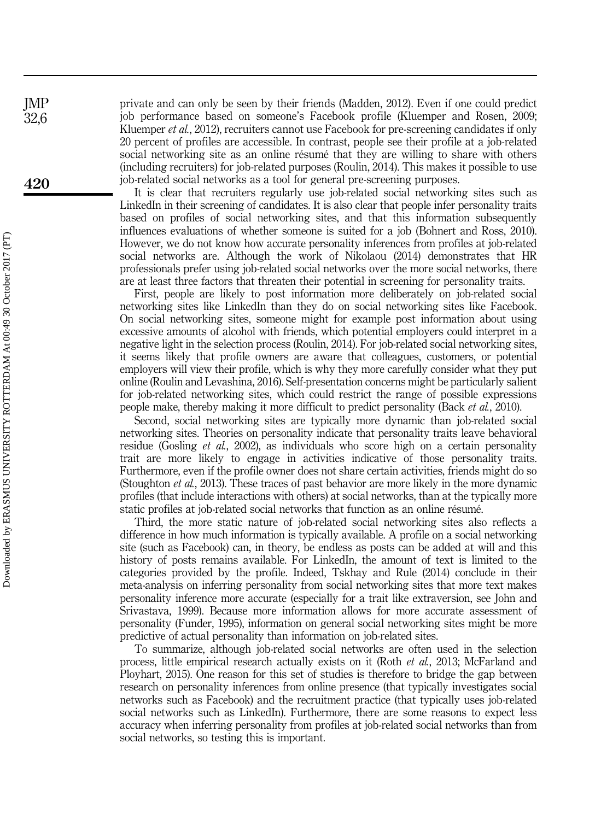private and can only be seen by their friends (Madden, 2012). Even if one could predict job performance based on someone's Facebook profile (Kluemper and Rosen, 2009; Kluemper *et al.*, 2012), recruiters cannot use Facebook for pre-screening candidates if only 20 percent of profiles are accessible. In contrast, people see their profile at a job-related social networking site as an online résumé that they are willing to share with others (including recruiters) for job-related purposes (Roulin, 2014). This makes it possible to use job-related social networks as a tool for general pre-screening purposes.

It is clear that recruiters regularly use job-related social networking sites such as LinkedIn in their screening of candidates. It is also clear that people infer personality traits based on profiles of social networking sites, and that this information subsequently influences evaluations of whether someone is suited for a job (Bohnert and Ross, 2010). However, we do not know how accurate personality inferences from profiles at job-related social networks are. Although the work of Nikolaou (2014) demonstrates that HR professionals prefer using job-related social networks over the more social networks, there are at least three factors that threaten their potential in screening for personality traits.

First, people are likely to post information more deliberately on job-related social networking sites like LinkedIn than they do on social networking sites like Facebook. On social networking sites, someone might for example post information about using excessive amounts of alcohol with friends, which potential employers could interpret in a negative light in the selection process (Roulin, 2014). For job-related social networking sites, it seems likely that profile owners are aware that colleagues, customers, or potential employers will view their profile, which is why they more carefully consider what they put online (Roulin and Levashina, 2016). Self-presentation concerns might be particularly salient for job-related networking sites, which could restrict the range of possible expressions people make, thereby making it more difficult to predict personality (Back et al., 2010).

Second, social networking sites are typically more dynamic than job-related social networking sites. Theories on personality indicate that personality traits leave behavioral residue (Gosling *et al.*, 2002), as individuals who score high on a certain personality trait are more likely to engage in activities indicative of those personality traits. Furthermore, even if the profile owner does not share certain activities, friends might do so (Stoughton et al., 2013). These traces of past behavior are more likely in the more dynamic profiles (that include interactions with others) at social networks, than at the typically more static profiles at job-related social networks that function as an online résumé.

Third, the more static nature of job-related social networking sites also reflects a difference in how much information is typically available. A profile on a social networking site (such as Facebook) can, in theory, be endless as posts can be added at will and this history of posts remains available. For LinkedIn, the amount of text is limited to the categories provided by the profile. Indeed, Tskhay and Rule (2014) conclude in their meta-analysis on inferring personality from social networking sites that more text makes personality inference more accurate (especially for a trait like extraversion, see John and Srivastava, 1999). Because more information allows for more accurate assessment of personality (Funder, 1995), information on general social networking sites might be more predictive of actual personality than information on job-related sites.

To summarize, although job-related social networks are often used in the selection process, little empirical research actually exists on it (Roth et al., 2013; McFarland and Ployhart, 2015). One reason for this set of studies is therefore to bridge the gap between research on personality inferences from online presence (that typically investigates social networks such as Facebook) and the recruitment practice (that typically uses job-related social networks such as LinkedIn). Furthermore, there are some reasons to expect less accuracy when inferring personality from profiles at job-related social networks than from social networks, so testing this is important.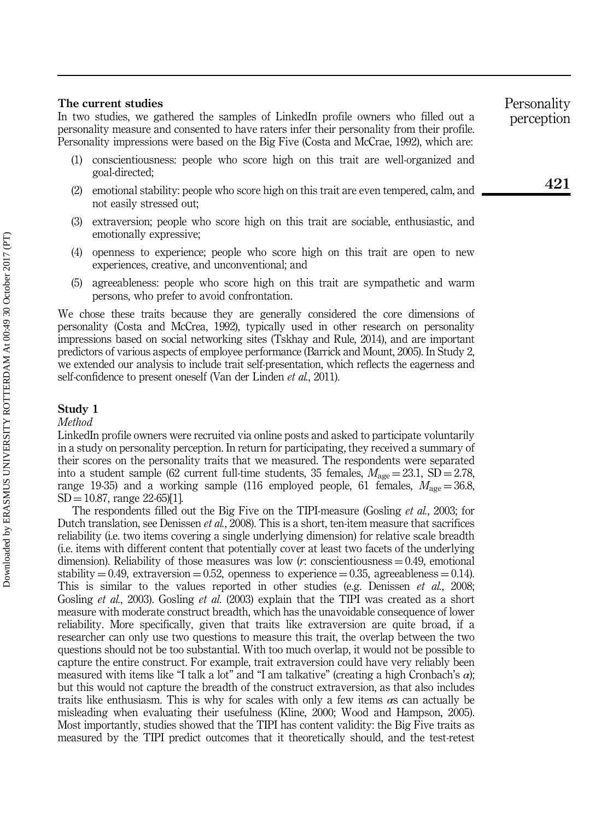#### The current studies

In two studies, we gathered the samples of LinkedIn profile owners who filled out a personality measure and consented to have raters infer their personality from their profile. Personality impressions were based on the Big Five (Costa and McCrae, 1992), which are:

- (1) conscientiousness: people who score high on this trait are well-organized and goal-directed;
- (2) emotional stability: people who score high on this trait are even tempered, calm, and not easily stressed out;
- (3) extraversion; people who score high on this trait are sociable, enthusiastic, and emotionally expressive;
- (4) openness to experience; people who score high on this trait are open to new experiences, creative, and unconventional; and
- (5) agreeableness: people who score high on this trait are sympathetic and warm persons, who prefer to avoid confrontation.

We chose these traits because they are generally considered the core dimensions of personality (Costa and McCrea, 1992), typically used in other research on personality impressions based on social networking sites (Tskhay and Rule, 2014), and are important predictors of various aspects of employee performance (Barrick and Mount, 2005). In Study 2, we extended our analysis to include trait self-presentation, which reflects the eagerness and self-confidence to present oneself (Van der Linden *et al.*, 2011).

#### Study 1

#### Method

LinkedIn profile owners were recruited via online posts and asked to participate voluntarily in a study on personality perception. In return for participating, they received a summary of their scores on the personality traits that we measured. The respondents were separated into a student sample (62 current full-time students, 35 females,  $M_{\text{age}} = 23.1$ , SD = 2.78, range 19-35) and a working sample (116 employed people, 61 females,  $M_{\text{age}} = 36.8$ ,  $SD = 10.87$ , range 22-65)[1].

The respondents filled out the Big Five on the TIPI-measure (Gosling *et al.*, 2003; for Dutch translation, see Denissen et al., 2008). This is a short, ten-item measure that sacrifices reliability (i.e. two items covering a single underlying dimension) for relative scale breadth (i.e. items with different content that potentially cover at least two facets of the underlying dimension). Reliability of those measures was low  $(r:$  conscientiousness  $= 0.49$ , emotional stability  $= 0.49$ , extraversion  $= 0.52$ , openness to experience  $= 0.35$ , agreeableness  $= 0.14$ ). This is similar to the values reported in other studies (e.g. Denissen *et al.*, 2008; Gosling et al., 2003). Gosling et al. (2003) explain that the TIPI was created as a short measure with moderate construct breadth, which has the unavoidable consequence of lower reliability. More specifically, given that traits like extraversion are quite broad, if a researcher can only use two questions to measure this trait, the overlap between the two questions should not be too substantial. With too much overlap, it would not be possible to capture the entire construct. For example, trait extraversion could have very reliably been measured with items like "I talk a lot" and "I am talkative" (creating a high Cronbach's α); but this would not capture the breadth of the construct extraversion, as that also includes traits like enthusiasm. This is why for scales with only a few items  $\alpha s$  can actually be misleading when evaluating their usefulness (Kline, 2000; Wood and Hampson, 2005). Most importantly, studies showed that the TIPI has content validity: the Big Five traits as measured by the TIPI predict outcomes that it theoretically should, and the test-retest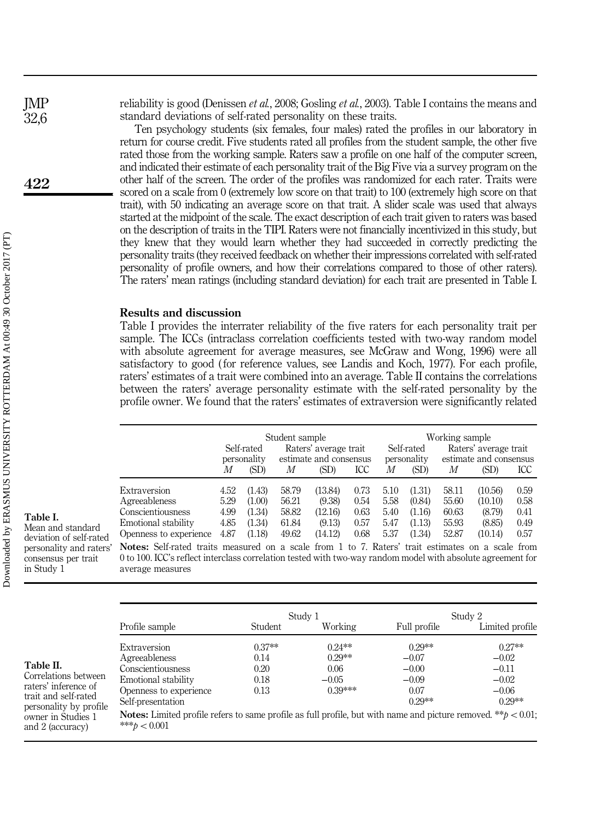reliability is good (Denissen et al., 2008; Gosling et al., 2003). Table I contains the means and standard deviations of self-rated personality on these traits.

Ten psychology students (six females, four males) rated the profiles in our laboratory in return for course credit. Five students rated all profiles from the student sample, the other five rated those from the working sample. Raters saw a profile on one half of the computer screen, and indicated their estimate of each personality trait of the Big Five via a survey program on the other half of the screen. The order of the profiles was randomized for each rater. Traits were scored on a scale from 0 (extremely low score on that trait) to 100 (extremely high score on that trait), with 50 indicating an average score on that trait. A slider scale was used that always started at the midpoint of the scale. The exact description of each trait given to raters was based on the description of traits in the TIPI. Raters were not financially incentivized in this study, but they knew that they would learn whether they had succeeded in correctly predicting the personality traits (they received feedback on whether their impressions correlated with self-rated personality of profile owners, and how their correlations compared to those of other raters). The raters' mean ratings (including standard deviation) for each trait are presented in Table I.

#### Results and discussion

Table I provides the interrater reliability of the five raters for each personality trait per sample. The ICCs (intraclass correlation coefficients tested with two-way random model with absolute agreement for average measures, see McGraw and Wong, 1996) were all satisfactory to good (for reference values, see Landis and Koch, 1977). For each profile, raters' estimates of a trait were combined into an average. Table II contains the correlations between the raters' average personality estimate with the self-rated personality by the profile owner. We found that the raters' estimates of extraversion were significantly related

|                                               |              | Self-rated<br>personality | Student sample | Raters' average trait<br>estimate and consensus |              |              | Self-rated<br>personality | Working sample<br>Raters' average trait<br>estimate and consensus |                   |              |
|-----------------------------------------------|--------------|---------------------------|----------------|-------------------------------------------------|--------------|--------------|---------------------------|-------------------------------------------------------------------|-------------------|--------------|
|                                               | М            | (SD)                      | М              | (SD)                                            | IСC          | М            | (SD)                      | М                                                                 | (SD)              | ICC          |
| Extraversion                                  | 4.52         | (1.43)                    | 58.79          | (13.84)                                         | 0.73         | 5.10         | (1.31)                    | 58.11                                                             | (10.56)           | 0.59         |
| Agreeableness<br>Conscientiousness            | 5.29<br>4.99 | (1.00)<br>(1.34)          | 56.21<br>58.82 | (9.38)<br>(12.16)                               | 0.54<br>0.63 | 5.58<br>5.40 | (0.84)<br>(1.16)          | 55.60<br>60.63                                                    | (10.10)<br>(8.79) | 0.58<br>0.41 |
| Emotional stability<br>Openness to experience | 4.85<br>4.87 | (1.34)<br>(1.18)          | 61.84<br>49.62 | (9.13)<br>(14.12)                               | 0.57<br>0.68 | 5.47<br>5.37 | (1.13)<br>(1.34)          | 55.93<br>52.87                                                    | (8.85)<br>(10.14) | 0.49<br>0.57 |

Notes: Self-rated traits measured on a scale from 1 to 7. Raters' trait estimates on a scale from 0 to 100. ICC's reflect interclass correlation tested with two-way random model with absolute agreement for average measures

|                             |                                                                                                                                             |          | Study 1   |              | Study 2            |  |  |  |
|-----------------------------|---------------------------------------------------------------------------------------------------------------------------------------------|----------|-----------|--------------|--------------------|--|--|--|
|                             | Profile sample                                                                                                                              | Student  | Working   | Full profile | Limited profile    |  |  |  |
|                             | Extraversion                                                                                                                                | $0.37**$ | $0.24***$ | $0.29**$     | $0.27**$           |  |  |  |
|                             | Agreeableness                                                                                                                               | 0.14     | $0.29**$  | $-0.07$      | $-0.02$<br>$-0.11$ |  |  |  |
| ons between                 | Conscientiousness                                                                                                                           | 0.20     | 0.06      | $-0.00$      |                    |  |  |  |
|                             | Emotional stability                                                                                                                         | 0.18     | $-0.05$   | $-0.09$      | $-0.02$            |  |  |  |
| ference of                  | Openness to experience                                                                                                                      | 0.13     | $0.39***$ | 0.07         | $-0.06$            |  |  |  |
| self-rated<br>ty by profile | Self-presentation                                                                                                                           |          |           | $0.29**$     | $0.29***$          |  |  |  |
| Studies 1<br>curacy)        | <b>Notes:</b> Limited profile refers to same profile as full profile, but with name and picture removed. ** $b < 0.01$ ;<br>*** $p < 0.001$ |          |           |              |                    |  |  |  |

Table I. Mean and standard deviation of self-rated personality and raters' consensus per trait in Study 1

Table II. Correlatio raters' inf trait and personali owner in and  $2$  (ac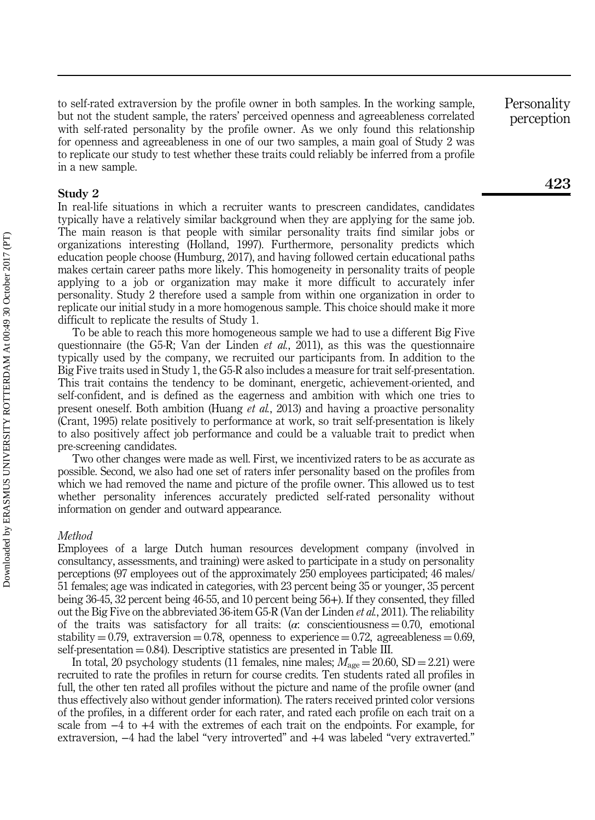to self-rated extraversion by the profile owner in both samples. In the working sample, but not the student sample, the raters' perceived openness and agreeableness correlated with self-rated personality by the profile owner. As we only found this relationship for openness and agreeableness in one of our two samples, a main goal of Study 2 was to replicate our study to test whether these traits could reliably be inferred from a profile in a new sample.

#### Study 2

In real-life situations in which a recruiter wants to prescreen candidates, candidates typically have a relatively similar background when they are applying for the same job. The main reason is that people with similar personality traits find similar jobs or organizations interesting (Holland, 1997). Furthermore, personality predicts which education people choose (Humburg, 2017), and having followed certain educational paths makes certain career paths more likely. This homogeneity in personality traits of people applying to a job or organization may make it more difficult to accurately infer personality. Study 2 therefore used a sample from within one organization in order to replicate our initial study in a more homogenous sample. This choice should make it more difficult to replicate the results of Study 1.

To be able to reach this more homogeneous sample we had to use a different Big Five questionnaire (the G5-R; Van der Linden *et al.*, 2011), as this was the questionnaire typically used by the company, we recruited our participants from. In addition to the Big Five traits used in Study 1, the G5-R also includes a measure for trait self-presentation. This trait contains the tendency to be dominant, energetic, achievement-oriented, and self-confident, and is defined as the eagerness and ambition with which one tries to present oneself. Both ambition (Huang *et al.*, 2013) and having a proactive personality (Crant, 1995) relate positively to performance at work, so trait self-presentation is likely to also positively affect job performance and could be a valuable trait to predict when pre-screening candidates.

Two other changes were made as well. First, we incentivized raters to be as accurate as possible. Second, we also had one set of raters infer personality based on the profiles from which we had removed the name and picture of the profile owner. This allowed us to test whether personality inferences accurately predicted self-rated personality without information on gender and outward appearance.

#### Method

Employees of a large Dutch human resources development company (involved in consultancy, assessments, and training) were asked to participate in a study on personality perceptions (97 employees out of the approximately 250 employees participated; 46 males/ 51 females; age was indicated in categories, with 23 percent being 35 or younger, 35 percent being 36-45, 32 percent being 46-55, and 10 percent being 56+). If they consented, they filled out the Big Five on the abbreviated 36-item G5-R (Van der Linden *et al.*, 2011). The reliability of the traits was satisfactory for all traits: ( $\alpha$ : conscientiousness = 0.70, emotional stability  $= 0.79$ , extraversion  $= 0.78$ , openness to experience  $= 0.72$ , agreeableness  $= 0.69$ , self-presentation  $= 0.84$ ). Descriptive statistics are presented in Table III.

In total, 20 psychology students (11 females, nine males;  $M_{\text{age}} = 20.60$ , SD = 2.21) were recruited to rate the profiles in return for course credits. Ten students rated all profiles in full, the other ten rated all profiles without the picture and name of the profile owner (and thus effectively also without gender information). The raters received printed color versions of the profiles, in a different order for each rater, and rated each profile on each trait on a scale from  $-4$  to  $+4$  with the extremes of each trait on the endpoints. For example, for extraversion, -4 had the label "very introverted" and +4 was labeled "very extraverted."

Personality perception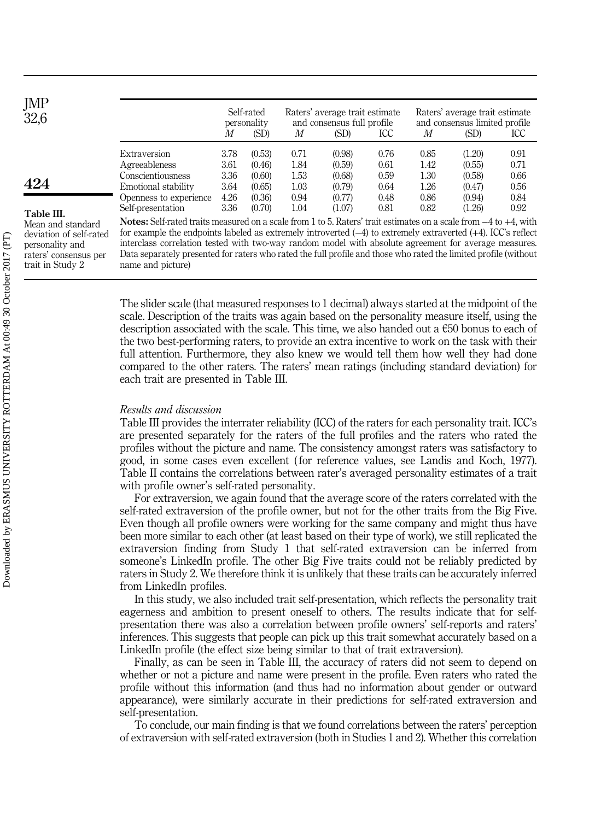#### 424

Table III.

Mean and standard deviation of self-rated personality and raters' consensus per trait in Study 2

|                        | Self-rated<br>personality<br>(SD)<br>М |        | М    | Raters' average trait estimate<br>and consensus full profile<br>(SD) | IСC  | М    | Raters' average trait estimate<br>and consensus limited profile<br>ICC<br>(SD) |      |  |  |
|------------------------|----------------------------------------|--------|------|----------------------------------------------------------------------|------|------|--------------------------------------------------------------------------------|------|--|--|
| Extraversion           | 3.78                                   | (0.53) | 0.71 | (0.98)                                                               | 0.76 | 0.85 | (1.20)                                                                         | 0.91 |  |  |
| Agreeableness          | 3.61                                   | (0.46) | 1.84 | (0.59)                                                               | 0.61 | 1.42 | (0.55)                                                                         | 0.71 |  |  |
| Conscientiousness      | 3.36                                   | (0.60) | 1.53 | (0.68)                                                               | 0.59 | 1.30 | (0.58)                                                                         | 0.66 |  |  |
| Emotional stability    | 3.64                                   | (0.65) | 1.03 | (0.79)                                                               | 0.64 | 1.26 | (0.47)                                                                         | 0.56 |  |  |
| Openness to experience | 4.26                                   | (0.36) | 0.94 | (0.77)                                                               | 0.48 | 0.86 | (0.94)                                                                         | 0.84 |  |  |
| Self-presentation      | 3.36                                   | (0.70) | 1.04 | (1.07)                                                               | 0.81 | 0.82 | (1.26)                                                                         | 0.92 |  |  |

Notes: Self-rated traits measured on a scale from 1 to 5. Raters' trait estimates on a scale from −4 to +4, with for example the endpoints labeled as extremely introverted (−4) to extremely extraverted (+4). ICC's reflect interclass correlation tested with two-way random model with absolute agreement for average measures. Data separately presented for raters who rated the full profile and those who rated the limited profile (without name and picture)

The slider scale (that measured responses to 1 decimal) always started at the midpoint of the scale. Description of the traits was again based on the personality measure itself, using the description associated with the scale. This time, we also handed out a  $\epsilon$ 50 bonus to each of the two best-performing raters, to provide an extra incentive to work on the task with their full attention. Furthermore, they also knew we would tell them how well they had done compared to the other raters. The raters' mean ratings (including standard deviation) for each trait are presented in Table III.

#### Results and discussion

Table III provides the interrater reliability (ICC) of the raters for each personality trait. ICC's are presented separately for the raters of the full profiles and the raters who rated the profiles without the picture and name. The consistency amongst raters was satisfactory to good, in some cases even excellent ( for reference values, see Landis and Koch, 1977). Table II contains the correlations between rater's averaged personality estimates of a trait with profile owner's self-rated personality.

For extraversion, we again found that the average score of the raters correlated with the self-rated extraversion of the profile owner, but not for the other traits from the Big Five. Even though all profile owners were working for the same company and might thus have been more similar to each other (at least based on their type of work), we still replicated the extraversion finding from Study 1 that self-rated extraversion can be inferred from someone's LinkedIn profile. The other Big Five traits could not be reliably predicted by raters in Study 2. We therefore think it is unlikely that these traits can be accurately inferred from LinkedIn profiles.

In this study, we also included trait self-presentation, which reflects the personality trait eagerness and ambition to present oneself to others. The results indicate that for selfpresentation there was also a correlation between profile owners' self-reports and raters' inferences. This suggests that people can pick up this trait somewhat accurately based on a LinkedIn profile (the effect size being similar to that of trait extraversion).

Finally, as can be seen in Table III, the accuracy of raters did not seem to depend on whether or not a picture and name were present in the profile. Even raters who rated the profile without this information (and thus had no information about gender or outward appearance), were similarly accurate in their predictions for self-rated extraversion and self-presentation.

To conclude, our main finding is that we found correlations between the raters' perception of extraversion with self-rated extraversion (both in Studies 1 and 2). Whether this correlation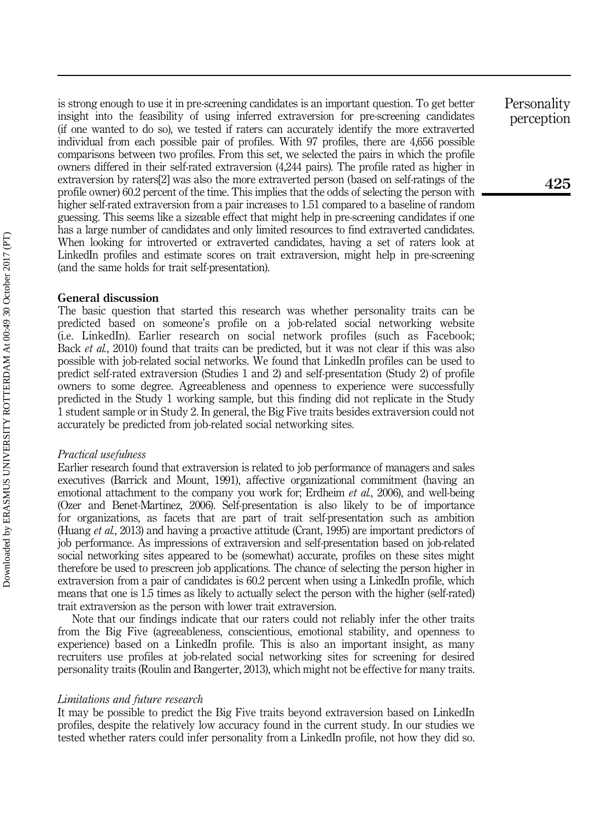is strong enough to use it in pre-screening candidates is an important question. To get better insight into the feasibility of using inferred extraversion for pre-screening candidates (if one wanted to do so), we tested if raters can accurately identify the more extraverted individual from each possible pair of profiles. With 97 profiles, there are 4,656 possible comparisons between two profiles. From this set, we selected the pairs in which the profile owners differed in their self-rated extraversion (4,244 pairs). The profile rated as higher in extraversion by raters[2] was also the more extraverted person (based on self-ratings of the profile owner) 60.2 percent of the time. This implies that the odds of selecting the person with higher self-rated extraversion from a pair increases to 1.51 compared to a baseline of random guessing. This seems like a sizeable effect that might help in pre-screening candidates if one has a large number of candidates and only limited resources to find extraverted candidates. When looking for introverted or extraverted candidates, having a set of raters look at LinkedIn profiles and estimate scores on trait extraversion, might help in pre-screening (and the same holds for trait self-presentation).

#### General discussion

The basic question that started this research was whether personality traits can be predicted based on someone's profile on a job-related social networking website (i.e. LinkedIn). Earlier research on social network profiles (such as Facebook; Back *et al.*, 2010) found that traits can be predicted, but it was not clear if this was also possible with job-related social networks. We found that LinkedIn profiles can be used to predict self-rated extraversion (Studies 1 and 2) and self-presentation (Study 2) of profile owners to some degree. Agreeableness and openness to experience were successfully predicted in the Study 1 working sample, but this finding did not replicate in the Study 1 student sample or in Study 2. In general, the Big Five traits besides extraversion could not accurately be predicted from job-related social networking sites.

#### Practical usefulness

Earlier research found that extraversion is related to job performance of managers and sales executives (Barrick and Mount, 1991), affective organizational commitment (having an emotional attachment to the company you work for; Erdheim *et al.*, 2006), and well-being (Ozer and Benet-Martinez, 2006). Self-presentation is also likely to be of importance for organizations, as facets that are part of trait self-presentation such as ambition (Huang *et al.*, 2013) and having a proactive attitude (Crant, 1995) are important predictors of job performance. As impressions of extraversion and self-presentation based on job-related social networking sites appeared to be (somewhat) accurate, profiles on these sites might therefore be used to prescreen job applications. The chance of selecting the person higher in extraversion from a pair of candidates is 60.2 percent when using a LinkedIn profile, which means that one is 1.5 times as likely to actually select the person with the higher (self-rated) trait extraversion as the person with lower trait extraversion.

Note that our findings indicate that our raters could not reliably infer the other traits from the Big Five (agreeableness, conscientious, emotional stability, and openness to experience) based on a LinkedIn profile. This is also an important insight, as many recruiters use profiles at job-related social networking sites for screening for desired personality traits (Roulin and Bangerter, 2013), which might not be effective for many traits.

#### Limitations and future research

It may be possible to predict the Big Five traits beyond extraversion based on LinkedIn profiles, despite the relatively low accuracy found in the current study. In our studies we tested whether raters could infer personality from a LinkedIn profile, not how they did so. Personality perception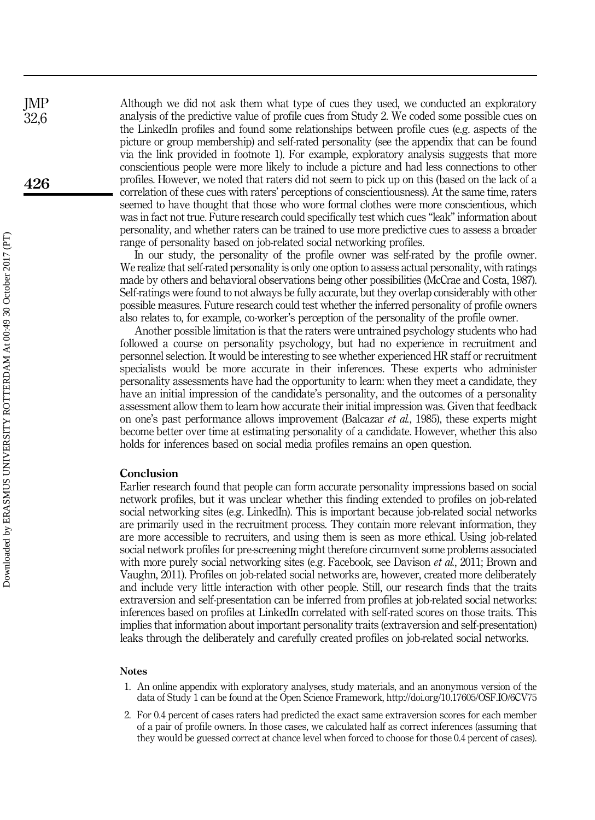Although we did not ask them what type of cues they used, we conducted an exploratory analysis of the predictive value of profile cues from Study 2. We coded some possible cues on the LinkedIn profiles and found some relationships between profile cues (e.g. aspects of the picture or group membership) and self-rated personality (see the appendix that can be found via the link provided in footnote 1). For example, exploratory analysis suggests that more conscientious people were more likely to include a picture and had less connections to other profiles. However, we noted that raters did not seem to pick up on this (based on the lack of a correlation of these cues with raters' perceptions of conscientiousness). At the same time, raters seemed to have thought that those who wore formal clothes were more conscientious, which was in fact not true. Future research could specifically test which cues "leak" information about personality, and whether raters can be trained to use more predictive cues to assess a broader range of personality based on job-related social networking profiles.

In our study, the personality of the profile owner was self-rated by the profile owner. We realize that self-rated personality is only one option to assess actual personality, with ratings made by others and behavioral observations being other possibilities (McCrae and Costa, 1987). Self-ratings were found to not always be fully accurate, but they overlap considerably with other possible measures. Future research could test whether the inferred personality of profile owners also relates to, for example, co-worker's perception of the personality of the profile owner.

Another possible limitation is that the raters were untrained psychology students who had followed a course on personality psychology, but had no experience in recruitment and personnel selection. It would be interesting to see whether experienced HR staff or recruitment specialists would be more accurate in their inferences. These experts who administer personality assessments have had the opportunity to learn: when they meet a candidate, they have an initial impression of the candidate's personality, and the outcomes of a personality assessment allow them to learn how accurate their initial impression was. Given that feedback on one's past performance allows improvement (Balcazar et al., 1985), these experts might become better over time at estimating personality of a candidate. However, whether this also holds for inferences based on social media profiles remains an open question.

#### Conclusion

Earlier research found that people can form accurate personality impressions based on social network profiles, but it was unclear whether this finding extended to profiles on job-related social networking sites (e.g. LinkedIn). This is important because job-related social networks are primarily used in the recruitment process. They contain more relevant information, they are more accessible to recruiters, and using them is seen as more ethical. Using job-related social network profiles for pre-screening might therefore circumvent some problems associated with more purely social networking sites (e.g. Facebook, see Davison *et al.*, 2011; Brown and Vaughn, 2011). Profiles on job-related social networks are, however, created more deliberately and include very little interaction with other people. Still, our research finds that the traits extraversion and self-presentation can be inferred from profiles at job-related social networks: inferences based on profiles at LinkedIn correlated with self-rated scores on those traits. This implies that information about important personality traits (extraversion and self-presentation) leaks through the deliberately and carefully created profiles on job-related social networks.

#### Notes

- 1. An online appendix with exploratory analyses, study materials, and an anonymous version of the data of Study 1 can be found at the Open Science Framework,<http://doi.org/10.17605/OSF.IO/6CV75>
- 2. For 0.4 percent of cases raters had predicted the exact same extraversion scores for each member of a pair of profile owners. In those cases, we calculated half as correct inferences (assuming that they would be guessed correct at chance level when forced to choose for those 0.4 percent of cases).

426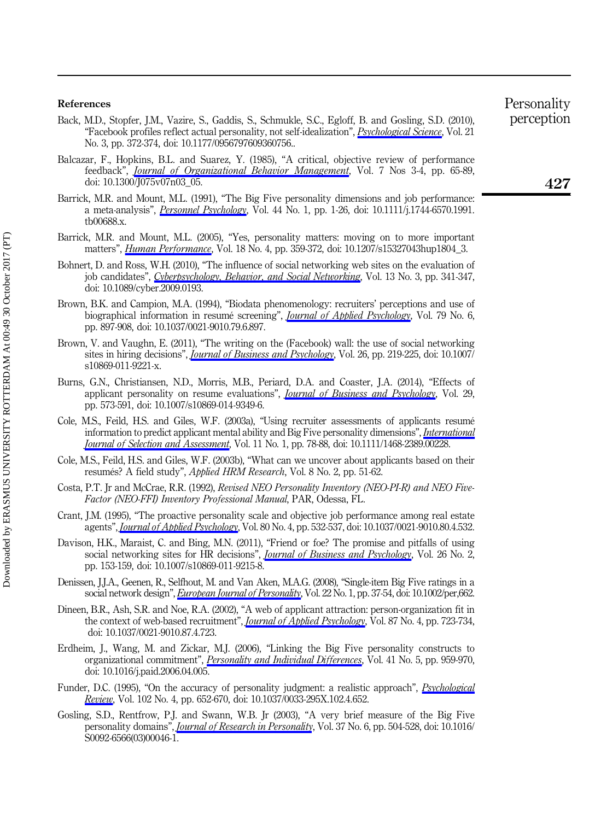#### References

- Back, M.D., Stopfer, J.M., Vazire, S., Gaddis, S., Schmukle, S.C., Egloff, B. and Gosling, S.D. (2010), "Facebook profiles reflect actual personality, not self-idealization", [Psychological Science](http://www.emeraldinsight.com/action/showLinks?doi=10.1108%2FJMP-07-2016-0220&crossref=10.1177%2F0956797609360756&isi=000276076500011&citationId=p_1), Vol. 21 No. 3, pp. 372-374, doi: 10.1177/0956797609360756..
- Balcazar, F., Hopkins, B.L. and Suarez, Y. (1985), "A critical, objective review of performance feedback", [Journal of Organizational Behavior Management](http://www.emeraldinsight.com/action/showLinks?doi=10.1108%2FJMP-07-2016-0220&crossref=10.1300%2FJ075v07n03_05&citationId=p_2), Vol. 7 Nos 3-4, pp. 65-89, doi: 10.1300/J075v07n03\_05.
- Barrick, M.R. and Mount, M.L. (1991), "The Big Five personality dimensions and job performance: a meta-analysis", [Personnel Psychology](http://www.emeraldinsight.com/action/showLinks?doi=10.1108%2FJMP-07-2016-0220&crossref=10.1111%2Fj.1744-6570.1991.tb00688.x&isi=A1991FC02700002&citationId=p_3), Vol. 44 No. 1, pp. 1-26, doi: 10.1111/j.1744-6570.1991. tb00688.x.
- Barrick, M.R. and Mount, M.L. (2005), "Yes, personality matters: moving on to more important matters", *[Human Performance](http://www.emeraldinsight.com/action/showLinks?doi=10.1108%2FJMP-07-2016-0220&crossref=10.1207%2Fs15327043hup1804_3&isi=000232709700003&citationId=p_4)*, Vol. 18 No. 4, pp. 359-372, doi: 10.1207/s15327043hup1804\_3.
- Bohnert, D. and Ross, W.H. (2010), "The influence of social networking web sites on the evaluation of job candidates", [Cyberpsychology, Behavior, and Social Networking](http://www.emeraldinsight.com/action/showLinks?doi=10.1108%2FJMP-07-2016-0220&crossref=10.1089%2Fcyber.2009.0193&isi=000278872900016&citationId=p_5), Vol. 13 No. 3, pp. 341-347, doi: 10.1089/cyber.2009.0193.
- Brown, B.K. and Campion, M.A. (1994), "Biodata phenomenology: recruiters' perceptions and use of biographical information in resumé screening", *[Journal of Applied Psychology](http://www.emeraldinsight.com/action/showLinks?doi=10.1108%2FJMP-07-2016-0220&crossref=10.1037%2F0021-9010.79.6.897&isi=A1994PZ03700013&citationId=p_6)*, Vol. 79 No. 6, pp. 897-908, doi: 10.1037/0021-9010.79.6.897.
- Brown, V. and Vaughn, E. (2011), "The writing on the (Facebook) wall: the use of social networking sites in hiring decisions", *[Journal of Business and Psychology](http://www.emeraldinsight.com/action/showLinks?doi=10.1108%2FJMP-07-2016-0220&crossref=10.1007%2Fs10869-011-9221-x&isi=000293745600013&citationId=p_7)*, Vol. 26, pp. 219-225, doi: 10.1007/ s10869-011-9221-x.
- Burns, G.N., Christiansen, N.D., Morris, M.B., Periard, D.A. and Coaster, J.A. (2014), "Effects of applicant personality on resume evaluations", *[Journal of Business and Psychology](http://www.emeraldinsight.com/action/showLinks?doi=10.1108%2FJMP-07-2016-0220&crossref=10.1007%2Fs10869-014-9349-6&isi=000345079000006&citationId=p_8)*, Vol. 29, pp. 573-591, doi: 10.1007/s10869-014-9349-6.
- Cole, M.S., Feild, H.S. and Giles, W.F. (2003a), "Using recruiter assessments of applicants resumé information to predict applicant mental ability and Big Five personality dimensions", *[International](http://www.emeraldinsight.com/action/showLinks?doi=10.1108%2FJMP-07-2016-0220&crossref=10.1111%2F1468-2389.00228&isi=000182649300007&citationId=p_9)* [Journal of Selection and Assessment](http://www.emeraldinsight.com/action/showLinks?doi=10.1108%2FJMP-07-2016-0220&crossref=10.1111%2F1468-2389.00228&isi=000182649300007&citationId=p_9), Vol. 11 No. 1, pp. 78-88, doi: 10.1111/1468-2389.00228.
- Cole, M.S., Feild, H.S. and Giles, W.F. (2003b), "What can we uncover about applicants based on their resumés? A field study", Applied HRM Research, Vol. 8 No. 2, pp. 51-62.
- Costa, P.T. Jr and McCrae, R.R. (1992), Revised NEO Personality Inventory (NEO-PI-R) and NEO Five-Factor (NEO-FFI) Inventory Professional Manual, PAR, Odessa, FL.
- Crant, J.M. (1995), "The proactive personality scale and objective job performance among real estate agents", [Journal of Applied Psychology](http://www.emeraldinsight.com/action/showLinks?doi=10.1108%2FJMP-07-2016-0220&crossref=10.1037%2F0021-9010.80.4.532&isi=A1995RN70000010&citationId=p_12), Vol. 80 No. 4, pp. 532-537, doi: 10.1037/0021-9010.80.4.532.
- Davison, H.K., Maraist, C. and Bing, M.N. (2011), "Friend or foe? The promise and pitfalls of using social networking sites for HR decisions", *[Journal of Business and Psychology](http://www.emeraldinsight.com/action/showLinks?doi=10.1108%2FJMP-07-2016-0220&crossref=10.1007%2Fs10869-011-9215-8&isi=000293745600005&citationId=p_13)*, Vol. 26 No. 2, pp. 153-159, doi: 10.1007/s10869-011-9215-8.
- Denissen, J.J.A., Geenen, R., Selfhout, M. and Van Aken, M.A.G. (2008), "Single-item Big Five ratings in a social network design", *[European Journal of Personality](http://www.emeraldinsight.com/action/showLinks?doi=10.1108%2FJMP-07-2016-0220&crossref=10.1002%2Fper.662&isi=000253293900004&citationId=p_14)*, Vol. 22 No. 1, pp. 37-54, doi: 10.1002/per,662.
- Dineen, B.R., Ash, S.R. and Noe, R.A. (2002), "A web of applicant attraction: person-organization fit in the context of web-based recruitment", *[Journal of Applied Psychology](http://www.emeraldinsight.com/action/showLinks?doi=10.1108%2FJMP-07-2016-0220&crossref=10.1037%2F0021-9010.87.4.723&isi=000177332600010&citationId=p_15)*, Vol. 87 No. 4, pp. 723-734, doi: 10.1037/0021-9010.87.4.723.
- Erdheim, J., Wang, M. and Zickar, M.J. (2006), "Linking the Big Five personality constructs to organizational commitment", *[Personality and Individual Differences](http://www.emeraldinsight.com/action/showLinks?doi=10.1108%2FJMP-07-2016-0220&crossref=10.1016%2Fj.paid.2006.04.005&isi=000240751300016&citationId=p_16)*, Vol. 41 No. 5, pp. 959-970, doi: 10.1016/j.paid.2006.04.005.
- Funder, D.C. (1995), "On the accuracy of personality judgment: a realistic approach", *[Psychological](http://www.emeraldinsight.com/action/showLinks?doi=10.1108%2FJMP-07-2016-0220&crossref=10.1037%2F0033-295X.102.4.652&isi=A1995RZ13700002&citationId=p_17)* [Review](http://www.emeraldinsight.com/action/showLinks?doi=10.1108%2FJMP-07-2016-0220&crossref=10.1037%2F0033-295X.102.4.652&isi=A1995RZ13700002&citationId=p_17), Vol. 102 No. 4, pp. 652-670, doi: 10.1037/0033-295X.102.4.652.
- Gosling, S.D., Rentfrow, P.J. and Swann, W.B. Jr (2003), "A very brief measure of the Big Five personality domains", *[Journal of Research in Personality](http://www.emeraldinsight.com/action/showLinks?doi=10.1108%2FJMP-07-2016-0220&crossref=10.1016%2FS0092-6566%2803%2900046-1&isi=000186501200003&citationId=p_18)*, Vol. 37 No. 6, pp. 504-528, doi: 10.1016/ S0092-6566(03)00046-1.

Personality

427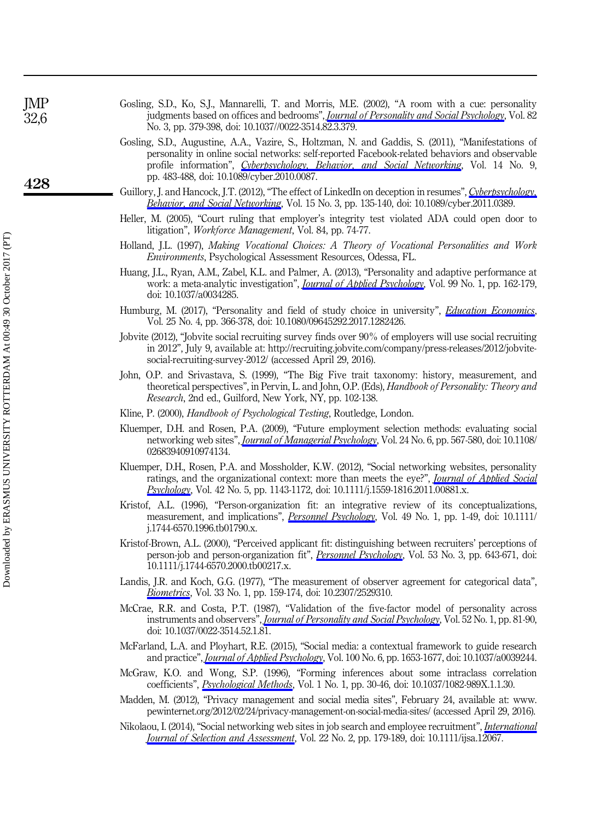|  |  | Gosling, S.D., Ko, S.J., Mannarelli, T. and Morris, M.E. (2002), "A room with a cue: personality        |  |  |  |  |  |  |
|--|--|---------------------------------------------------------------------------------------------------------|--|--|--|--|--|--|
|  |  | judgments based on offices and bedrooms", <i>Journal of Personality and Social Psychology</i> , Vol. 82 |  |  |  |  |  |  |
|  |  | No. 3, pp. 379-398, doi: 10.1037//0022-3514.82.3.379.                                                   |  |  |  |  |  |  |

- Gosling, S.D., Augustine, A.A., Vazire, S., Holtzman, N. and Gaddis, S. (2011), "Manifestations of personality in online social networks: self-reported Facebook-related behaviors and observable profile information", [Cyberpsychology, Behavior, and Social Networking](http://www.emeraldinsight.com/action/showLinks?doi=10.1108%2FJMP-07-2016-0220&crossref=10.1089%2Fcyber.2010.0087&isi=000294892500002&citationId=p_20), Vol. 14 No. 9, pp. 483-488, doi: 10.1089/cyber.2010.0087.
- Guillory, J. and Hancock, J.T. (2012), "The effect of LinkedIn on deception in resumes", [Cyberpsychology,](http://www.emeraldinsight.com/action/showLinks?doi=10.1108%2FJMP-07-2016-0220&crossref=10.1089%2Fcyber.2011.0389&isi=000301427400003&citationId=p_21) [Behavior, and Social Networking](http://www.emeraldinsight.com/action/showLinks?doi=10.1108%2FJMP-07-2016-0220&crossref=10.1089%2Fcyber.2011.0389&isi=000301427400003&citationId=p_21), Vol. 15 No. 3, pp. 135-140, doi: 10.1089/cyber.2011.0389.
- Heller, M. (2005), "Court ruling that employer's integrity test violated ADA could open door to litigation", Workforce Management, Vol. 84, pp. 74-77.
- Holland, J.L. (1997), Making Vocational Choices: A Theory of Vocational Personalities and Work Environments, Psychological Assessment Resources, Odessa, FL.
- Huang, J.L., Ryan, A.M., Zabel, K.L. and Palmer, A. (2013), "Personality and adaptive performance at work: a meta-analytic investigation", *[Journal of Applied Psychology](http://www.emeraldinsight.com/action/showLinks?doi=10.1108%2FJMP-07-2016-0220&crossref=10.1037%2Fa0034285&isi=000339879700011&citationId=p_24)*, Vol. 99 No. 1, pp. 162-179, doi: 10.1037/a0034285.
- Humburg, M. (2017), "Personality and field of study choice in university", *[Education Economics](http://www.emeraldinsight.com/action/showLinks?doi=10.1108%2FJMP-07-2016-0220&crossref=10.1080%2F09645292.2017.1282426&isi=000396846100003&citationId=p_25)*, Vol. 25 No. 4, pp. 366-378, doi: 10.1080/09645292.2017.1282426.
- Jobvite (2012), "Jobvite social recruiting survey finds over 90% of employers will use social recruiting in 2012", July 9, available at: [http://recruiting.jobvite.com/company/press-releases/2012/jobvite](http://recruiting.jobvite.com/company/press-releases/2012/jobvite-social-recruiting-survey-2012/)[social-recruiting-survey-2012/ \(accessed April 29, 2016\).](http://recruiting.jobvite.com/company/press-releases/2012/jobvite-social-recruiting-survey-2012/)
- John, O.P. and Srivastava, S. (1999), "The Big Five trait taxonomy: history, measurement, and theoretical perspectives", in Pervin, L. and John, O.P. (Eds), Handbook of Personality: Theory and Research, 2nd ed., Guilford, New York, NY, pp. 102-138.
- Kline, P. (2000), Handbook of Psychological Testing, Routledge, London.
- Kluemper, D.H. and Rosen, P.A. (2009), "Future employment selection methods: evaluating social networking web sites", [Journal of Managerial Psychology](http://www.emeraldinsight.com/action/showLinks?doi=10.1108%2FJMP-07-2016-0220&system=10.1108%2F02683940910974134&isi=000269626100006&citationId=p_29), Vol. 24 No. 6, pp. 567-580, doi: 10.1108/ 02683940910974134.
- Kluemper, D.H., Rosen, P.A. and Mossholder, K.W. (2012), "Social networking websites, personality ratings, and the organizational context: more than meets the eye?", *[Journal of Applied Social](http://www.emeraldinsight.com/action/showLinks?doi=10.1108%2FJMP-07-2016-0220&crossref=10.1111%2Fj.1559-1816.2011.00881.x&isi=000303991100006&citationId=p_30)* [Psychology](http://www.emeraldinsight.com/action/showLinks?doi=10.1108%2FJMP-07-2016-0220&crossref=10.1111%2Fj.1559-1816.2011.00881.x&isi=000303991100006&citationId=p_30), Vol. 42 No. 5, pp. 1143-1172, doi: 10.1111/j.1559-1816.2011.00881.x.
- Kristof, A.L. (1996), "Person-organization fit: an integrative review of its conceptualizations, measurement, and implications", *[Personnel Psychology](http://www.emeraldinsight.com/action/showLinks?doi=10.1108%2FJMP-07-2016-0220&crossref=10.1111%2Fj.1744-6570.1996.tb01790.x&isi=A1996UA23000001&citationId=p_31)*, Vol. 49 No. 1, pp. 1-49, doi: 10.1111/ j.1744-6570.1996.tb01790.x.
- Kristof-Brown, A.L. (2000), "Perceived applicant fit: distinguishing between recruiters' perceptions of person-job and person-organization fit", [Personnel Psychology](http://www.emeraldinsight.com/action/showLinks?doi=10.1108%2FJMP-07-2016-0220&crossref=10.1111%2Fj.1744-6570.2000.tb00217.x&isi=000089341800005&citationId=p_32), Vol. 53 No. 3, pp. 643-671, doi: 10.1111/j.1744-6570.2000.tb00217.x.
- Landis, J.R. and Koch, G.G. (1977), "The measurement of observer agreement for categorical data", [Biometrics](http://www.emeraldinsight.com/action/showLinks?doi=10.1108%2FJMP-07-2016-0220&crossref=10.2307%2F2529310&isi=A1977CY39700012&citationId=p_33), Vol. 33 No. 1, pp. 159-174, doi: 10.2307/2529310.
- McCrae, R.R. and Costa, P.T. (1987), "Validation of the five-factor model of personality across instruments and observers", *[Journal of Personality and Social Psychology](http://www.emeraldinsight.com/action/showLinks?doi=10.1108%2FJMP-07-2016-0220&crossref=10.1037%2F0022-3514.52.1.81&isi=A1987F642800010&citationId=p_34)*, Vol. 52 No. 1, pp. 81-90, doi: 10.1037/0022-3514.52.1.81.
- McFarland, L.A. and Ployhart, R.E. (2015), "Social media: a contextual framework to guide research and practice", [Journal of Applied Psychology](http://www.emeraldinsight.com/action/showLinks?doi=10.1108%2FJMP-07-2016-0220&crossref=10.1037%2Fa0039244&isi=000364588900001&citationId=p_35), Vol. 100 No. 6, pp. 1653-1677, doi: 10.1037/a0039244.
- McGraw, K.O. and Wong, S.P. (1996), "Forming inferences about some intraclass correlation coefficients", *[Psychological Methods](http://www.emeraldinsight.com/action/showLinks?doi=10.1108%2FJMP-07-2016-0220&crossref=10.1037%2F1082-989X.1.1.30&isi=A1996VV65700004&citationId=p_36)*, Vol. 1 No. 1, pp. 30-46, doi: 10.1037/1082-989X.1.1.30.
- Madden, M. (2012), "Privacy management and social media sites", February 24, available at: [www.](www.pewinternet.org/2012/02/24/privacy-management-on-social-media-sites/) [pewinternet.org/2012/02/24/privacy-management-on-social-media-sites/ \(accessed April 29, 2016\).](www.pewinternet.org/2012/02/24/privacy-management-on-social-media-sites/)
- Nikolaou, I. (2014), "Social networking web sites in job search and employee recruitment", *[International](http://www.emeraldinsight.com/action/showLinks?doi=10.1108%2FJMP-07-2016-0220&crossref=10.1111%2Fijsa.12067&isi=000337519800006&citationId=p_38)* [Journal of Selection and Assessment](http://www.emeraldinsight.com/action/showLinks?doi=10.1108%2FJMP-07-2016-0220&crossref=10.1111%2Fijsa.12067&isi=000337519800006&citationId=p_38), Vol. 22 No. 2, pp. 179-189, doi: 10.1111/ijsa.12067.

428

JMP 32,6